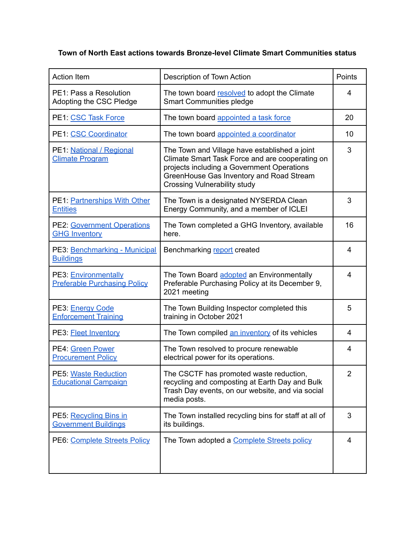## **Town of North East actions towards Bronze-level Climate Smart Communities status**

| <b>Action Item</b>                                          | Description of Town Action                                                                                                                                                                                                        | Points |
|-------------------------------------------------------------|-----------------------------------------------------------------------------------------------------------------------------------------------------------------------------------------------------------------------------------|--------|
| PE1: Pass a Resolution<br>Adopting the CSC Pledge           | The town board resolved to adopt the Climate<br><b>Smart Communities pledge</b>                                                                                                                                                   | 4      |
| PE1: CSC Task Force                                         | The town board appointed a task force                                                                                                                                                                                             | 20     |
| PE1: CSC Coordinator                                        | The town board appointed a coordinator                                                                                                                                                                                            | 10     |
| PE1: National / Regional<br><b>Climate Program</b>          | The Town and Village have established a joint<br>Climate Smart Task Force and are cooperating on<br>projects including a Government Operations<br>GreenHouse Gas Inventory and Road Stream<br><b>Crossing Vulnerability study</b> | 3      |
| PE1: Partnerships With Other<br><b>Entities</b>             | The Town is a designated NYSERDA Clean<br>Energy Community, and a member of ICLEI                                                                                                                                                 | 3      |
| <b>PE2: Government Operations</b><br><b>GHG Inventory</b>   | The Town completed a GHG Inventory, available<br>here.                                                                                                                                                                            | 16     |
| PE3: Benchmarking - Municipal<br><b>Buildings</b>           | Benchmarking report created                                                                                                                                                                                                       | 4      |
| PE3: Environmentally<br><b>Preferable Purchasing Policy</b> | The Town Board adopted an Environmentally<br>Preferable Purchasing Policy at its December 9,<br>2021 meeting                                                                                                                      | 4      |
| PE3: Energy Code<br><b>Enforcement Training</b>             | The Town Building Inspector completed this<br>training in October 2021                                                                                                                                                            | 5      |
| PE3: <b>Fleet Inventory</b>                                 | The Town compiled an inventory of its vehicles                                                                                                                                                                                    | 4      |
| PE4: Green Power<br><b>Procurement Policy</b>               | The Town resolved to procure renewable<br>electrical power for its operations.                                                                                                                                                    | 4      |
| PE5: Waste Reduction<br><b>Educational Campaign</b>         | The CSCTF has promoted waste reduction,<br>recycling and composting at Earth Day and Bulk<br>Trash Day events, on our website, and via social<br>media posts.                                                                     | 2      |
| PE5: Recycling Bins in<br><b>Government Buildings</b>       | The Town installed recycling bins for staff at all of<br>its buildings.                                                                                                                                                           | 3      |
| PE6: Complete Streets Policy                                | The Town adopted a Complete Streets policy                                                                                                                                                                                        | 4      |